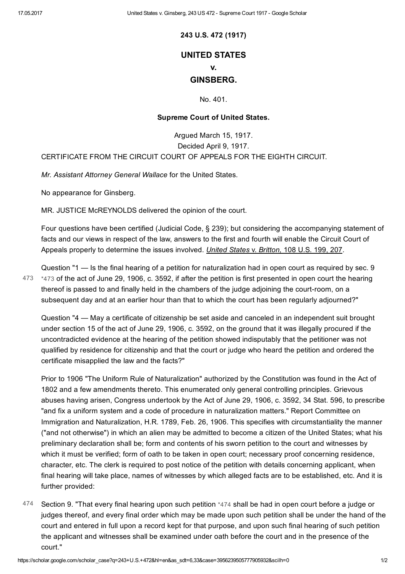243 U.S. 472 (1917)

# UNITED STATES

#### v.

## GINSBERG.

No. 401.

### Supreme Court of United States.

Argued March 15, 1917. Decided April 9, 1917. CERTIFICATE FROM THE CIRCUIT COURT OF APPEALS FOR THE EIGHTH CIRCUIT.

Mr. Assistant Attorney General Wallace for the United States.

No appearance for Ginsberg.

MR. JUSTICE McREYNOLDS delivered the opinion of the court.

Four questions have been certified (Judicial Code, § 239); but considering the accompanying statement of facts and our views in respect of the law, answers to the first and fourth will enable the Circuit Court of Appeals properly to determine the issues involved. United States v. Britton, 108 U.S. 199, 207.

<span id="page-0-0"></span>Question "1 — Is the final hearing of a petition for naturalization had in open court as required by sec. 9  $473$   $*473$  of the act of June 29, 1906, c. 3592, if after the petition is first presented in open court the hearing thereof is passed to and finally held in the chambers of the judge adjoining the court-room, on a subsequent day and at an earlier hour than that to which the court has been regularly adjourned?"

Question "4 — May a certificate of citizenship be set aside and canceled in an independent suit brought under section 15 of the act of June 29, 1906, c. 3592, on the ground that it was illegally procured if the uncontradicted evidence at the hearing of the petition showed indisputably that the petitioner was not qualified by residence for citizenship and that the court or judge who heard the petition and ordered the certificate misapplied the law and the facts?"

Prior to 1906 "The Uniform Rule of Naturalization" authorized by the Constitution was found in the Act of 1802 and a few amendments thereto. This enumerated only general controlling principles. Grievous abuses having arisen, Congress undertook by the Act of June 29, 1906, c. 3592, 34 Stat. 596, to prescribe "and fix a uniform system and a code of procedure in naturalization matters." Report Committee on Immigration and Naturalization, H.R. 1789, Feb. 26, 1906. This specifies with circumstantiality the manner ("and not otherwise") in which an alien may be admitted to become a citizen of the United States; what his preliminary declaration shall be; form and contents of his sworn petition to the court and witnesses by which it must be verified; form of oath to be taken in open court; necessary proof concerning residence, character, etc. The clerk is required to post notice of the petition with details concerning applicant, when final hearing will take place, names of witnesses by which alleged facts are to be established, etc. And it is further provided:

<span id="page-0-1"></span>474 Section 9. "That every final hearing upon such petition [\\*474](#page-0-1) shall be had in open court before a judge or judges thereof, and every final order which may be made upon such petition shall be under the hand of the court and entered in full upon a record kept for that purpose, and upon such final hearing of such petition the applicant and witnesses shall be examined under oath before the court and in the presence of the court."